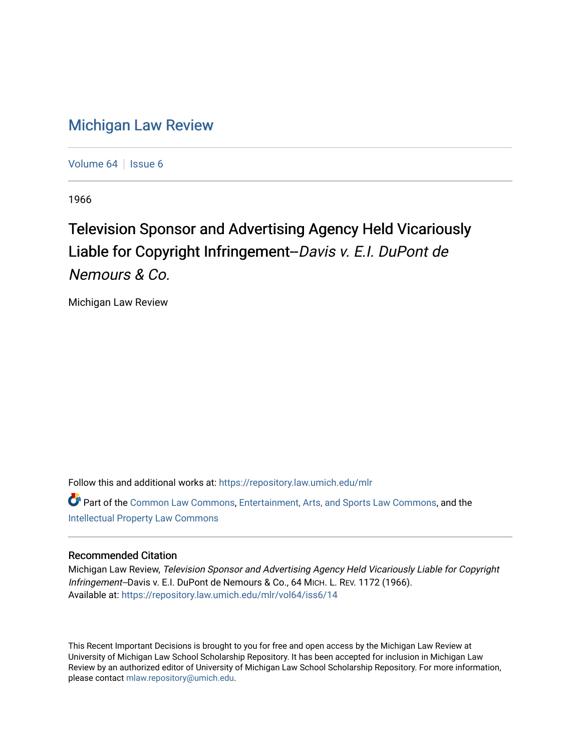# [Michigan Law Review](https://repository.law.umich.edu/mlr)

[Volume 64](https://repository.law.umich.edu/mlr/vol64) | [Issue 6](https://repository.law.umich.edu/mlr/vol64/iss6)

1966

# Television Sponsor and Advertising Agency Held Vicariously Liable for Copyright Infringement--Davis v. E.I. DuPont de Nemours & Co.

Michigan Law Review

Follow this and additional works at: [https://repository.law.umich.edu/mlr](https://repository.law.umich.edu/mlr?utm_source=repository.law.umich.edu%2Fmlr%2Fvol64%2Fiss6%2F14&utm_medium=PDF&utm_campaign=PDFCoverPages) 

Part of the [Common Law Commons,](http://network.bepress.com/hgg/discipline/1120?utm_source=repository.law.umich.edu%2Fmlr%2Fvol64%2Fiss6%2F14&utm_medium=PDF&utm_campaign=PDFCoverPages) [Entertainment, Arts, and Sports Law Commons](http://network.bepress.com/hgg/discipline/893?utm_source=repository.law.umich.edu%2Fmlr%2Fvol64%2Fiss6%2F14&utm_medium=PDF&utm_campaign=PDFCoverPages), and the [Intellectual Property Law Commons](http://network.bepress.com/hgg/discipline/896?utm_source=repository.law.umich.edu%2Fmlr%2Fvol64%2Fiss6%2F14&utm_medium=PDF&utm_campaign=PDFCoverPages) 

### Recommended Citation

Michigan Law Review, Television Sponsor and Advertising Agency Held Vicariously Liable for Copyright Infringement--Davis v. E.I. DuPont de Nemours & Co., 64 MICH. L. REV. 1172 (1966). Available at: [https://repository.law.umich.edu/mlr/vol64/iss6/14](https://repository.law.umich.edu/mlr/vol64/iss6/14?utm_source=repository.law.umich.edu%2Fmlr%2Fvol64%2Fiss6%2F14&utm_medium=PDF&utm_campaign=PDFCoverPages) 

This Recent Important Decisions is brought to you for free and open access by the Michigan Law Review at University of Michigan Law School Scholarship Repository. It has been accepted for inclusion in Michigan Law Review by an authorized editor of University of Michigan Law School Scholarship Repository. For more information, please contact [mlaw.repository@umich.edu.](mailto:mlaw.repository@umich.edu)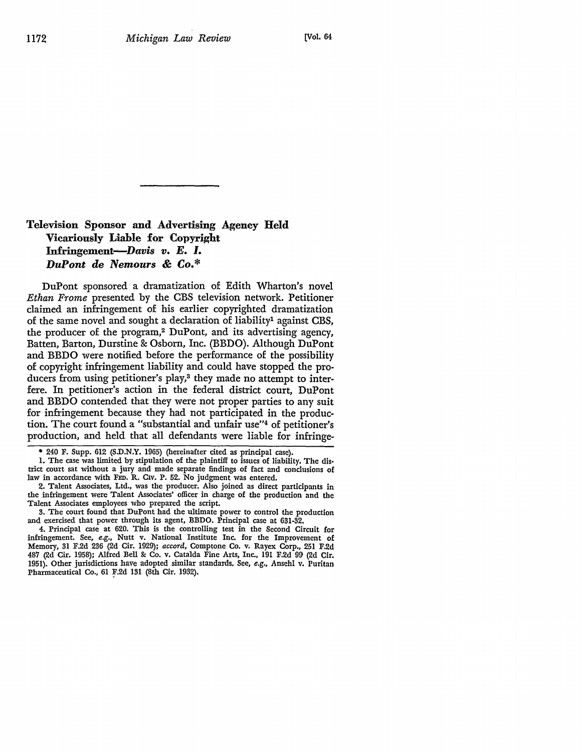## **Television Sponsor and Advertising Agency Held Vicariously Liable for Copyright Infringement-Davis** *v. E. I. DuPont de Nemours* & *Co.\**

DuPont sponsored a dramatization of Edith Wharton's novel *Ethan Frome* presented by the CBS television network. Petitioner claimed an infringement of his earlier copyrighted dramatization of the same novel and sought a declaration of liability<sup>1</sup> against CBS. the producer of the program,2 DuPont, and its advertising agency, Batten, Barton, Durstine & Osborn, Inc. (BBDO). Although DuPont and BBDO were notified before the performance of the possibility of copyright infringement liability and could have stopped the producers from using petitioner's play,<sup>3</sup> they made no attempt to interfere. In petitioner's action in the federal district court, DuPont and BBDO contended that they were not proper parties to any suit for infringement because they had not participated in the production. The court found a "substantial and unfair use"4 of petitioner's production, and held that all defendants were liable for infringe-

• 240 F. Supp. 612 (S.D.N.Y. 1965) (hereinafter cited as principal case),

1. The case was limited by stipulation of the plaintiff to issues of liability. The dis• trict court sat without a jury and made separate findings of fact and conclusions of law in accordance with FED. R. CIV. P. 52. No judgment was entered.

2. Talent Associates, Ltd., was the producer. Also joined as direct participants in the infringement were Talent Associates' officer in charge of the production and the Talent Associates employees who prepared the script.

3. The court found that DuPont had the ultimate power to control the production and exercised that power through its agent, BBDO. Principal case at 631-32,

4. Principal case at 620. This is the controlling test in the Second Circuit for infringement. See, *e.g.,* Nutt v. National Institute Inc. for the Improvement of Memory, 31 F.2d 2!16 (2d Cir. 1929); *accord,* Comptone Co. v. Rayex Corp,, 251 F.2d 487 (2d Cir. 1958); Alfred Bell &: Co. v. Catalda Fine Arts, Inc., 191 F.2d 99 (2d Cir. 1951). Other jurisdictions have adopted similar standards. See, *e.g.,* Ansehl v. Puritan Pharmaceutical Co., 61 F.2d 131 (8th Cir. 1932).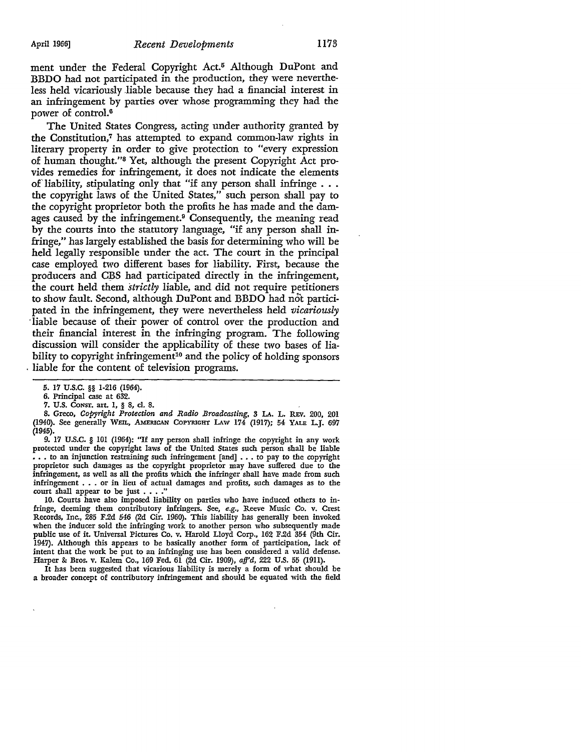ment under the Federal Copyright Act.<sup>5</sup> Although DuPont and **BBDO** had not participated in the production, they were nevertheless held vicariously liable because they had a financial interest in an infringement by parties over whose programming they had the power of control.<sup>6</sup>

The United States Congress, acting under authority granted by the Constitution, 7 has attempted to expand common-law rights in literary property in order to give protection to "every expression of human thought."8 Yet, although the present Copyright Act provides remedies for infringement, it does not indicate the elements of liability, stipulating only that "if any person shall infringe . . . the copyright laws of the United States," such person shall pay to the copyright proprietor both the profits he has made and the damages caused by the infringement.9 Consequently, the meaning read by the courts into the statutory language, "if any person shall infringe," has largely established the basis for determining who will be held legally responsible under the act. The court in the principal case employed two different bases for liability. First, because the producers and C!3S had participated directly in the infringement, the court held them *strictly* liable, and did not require petitioners to show fault. Second, although DuPont and BBDO had not participated in the infringement, they were nevertheless held *vicariously*  · liable because of their power of control over the production and their financial interest in the infringing program. The following discussion will consider the applicability of these two bases of liability to copyright infringement<sup>10</sup> and the policy of holding sponsors . liable for the content of television programs.

9. 17 U.S.C. § 101 (1964): "If any person shall infringe the copyright in any work protected under the copyright laws of the United States such person shall be liable  $\overline{\cdot}$  . . to an injunction restraining such infringement [and]  $\cdot$  . . to pay to the copyright proprietor such damages as the copyright proprietor may have suffered due to the infringement, as well as all the profits which the infringer shall have made from such infringement . . . or in lieu of actual damages and profits, such damages as to the court shall appear to be just . . . .<sup>4</sup>

10. Courts have also imposed liability on parties who have induced others to infringe, deeming them contributory infringers. See, *e.g.,* Reeve Music Co. v. Crest Records, Inc., 285 F.2d 546 (2d Cir. 1960). This liability has generally been invoked when the inducer sold the infringing work to another person who subsequently made public use of it. Universal Pictures Co. v. Harold Lloyd Corp., 162 F.2d 354 (9th Cir. 1947). Although this appears to be basically another form of participation, lack of intent that the work be put to an infringing use has been considered a valid defense. Harper & Bros. v. Kalem Co., 169 Fed. 61 (2d Cir. 1909), *afj'd,* 222 U.S. 55 (1911).

It has been suggested that vicarious liability is merely a form of what should be a broader concept of contributory infringement and should be equated with the field

*<sup>5.</sup>* 17 u.s.c. §§ 1-216 (1964).

<sup>6.</sup> Principal case at 632.

<sup>7.</sup> U.S. CONST. art. 1, § 8, cl. 8.

<sup>8.</sup> Greco, *Copyright Protection and Radio Broadcasting*, 3 LA. L. REV. 200, 201 (1940). See generally WEIL, AMERICAN COPYRIGHT LAW 174 (1917); 54 YALE LJ. 697 (1945).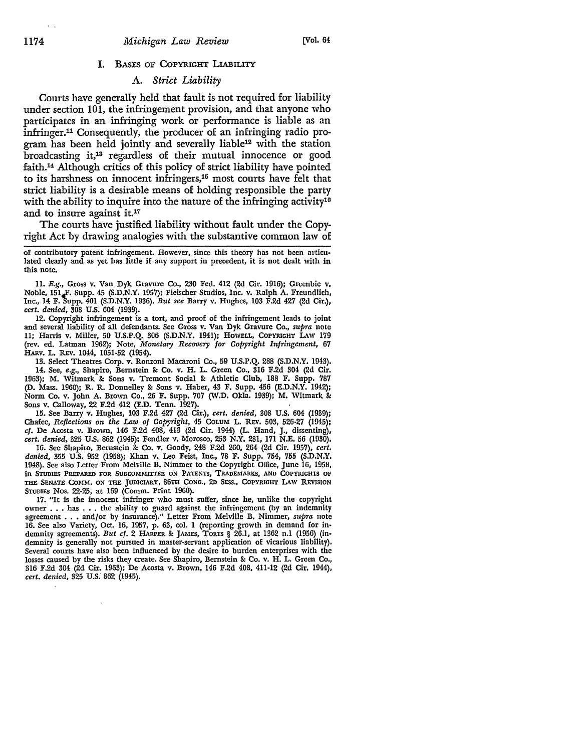#### I. BASES OF COPYRIGHT LIABILITY

#### A. *Strict Liability*

Courts have generally held that fault is not required for liability under section 101, the infringement provision, and that anyone who participates in an infringing work or performance is liable as an infringer.11 Consequently, the producer of an infringing radio program has been held jointly and severally liable12 with the station broadcasting it,13 regardless of their mutual innocence or good faith.14 Although critics of this policy of strict liability have pointed to its harshness on innocent infringers,15 most courts have felt that strict liability is a desirable means of holding responsible the party with the ability to inquire into the nature of the infringing activity<sup>10</sup> and to insure against it.<sup>17</sup>

The courts have justified liability without fault under the Copyright Act by drawing analogies with the substantive common law of

of contributory patent infringement. However, since this theory has not been articulated clearly and as yet has little if any support in precedent, it is not dealt with in this note.

11. E.g., Gross v. Van Dyk Gravure Co., 230 Fed. 412 (2d Cir. 1916); Greenbie v. Noble, 151<sub>4</sub>F. Supp. 45 (S.D.N.Y. 1957); Fleischer Studios, Inc. v. Ralph A. Freundlich, Inc., 14 F.1iupp. 401 (S.D.N.Y. 1936). *But see* Barry v. Hughes, 103 F.2d 427 (2d Cir.), *cert. denied,* 308 U.S. 604 (1939).

12. Copyright infringement is a tort, and proof of the infringement leads to joint and several liability of all defendants. See Gross v. Van Dyk Gravure Co., *supra* note 11; Harris v. Miller, 50 U.S.P.Q. 306 (S.D.N.Y. 1941); HOWELL, COPYRIGHT LAW 179 (rev. ed. Latman 1962); Note, *Monetary Recovery for Copyright Infringement,* 67 HARv. L. REv. 1044, 1051-52 (1954).

13. Select Theatres Corp. v. Ronzoni Macaroni Co., 59 U.S.P.Q. 288 (S.D.N.Y. 1943). 14. See, *e.g.,* Shapiro, Bernstein 8: Co. v. H. L. Green Co., 316 F.2d 304 (2d Cir. 1963); M. Witmark 8: Sons v. Tremont Social 8: Athletic Club, 188 F. Supp. 787 (D. Mass. 1960); R. R. Donnelley 8: Sons v. Haber, 43 F. Supp. 456 (E.D.N.Y. 1942); Norm Co. v. John A. Brown Co., 26 F. Supp. 707 (W.D. Okla. 1939); M. Witmark &: Sons v. Calloway, 22 F.2d 412 (E.D. Tenn. 1927).

15. See Barry v. Hughes, 103 F.2d 427 (2d Cir.), *cert. denied,* 308 U.S. 604 (1939); Chafee, *Reflections on the Law of Copyright,* 45 CoLUM L. REV. 503, 526•27 (1945); cf. De Acosta v. Brown, 146 F.2d 408, 413 (2d Cir. 1944) (L. Hand, J., dissenting), *cert. denied,* 325 U.S. 862 (1945); Fendler v. Morosco, 253 N.Y. 281, 171 N.E. 56 (1930).

16. See Shapiro, Bernstein &: Co. v. Goody, 248 F.2d 260, 264 (2d Cir. 1957), *cert, denied,* 355 U.S. 952 (1958); Khan v. Leo Feist, Inc., 78 F. Supp. 754, 755 **(S.D.N,Y.**  1948). See also Letter From Melville **B.** Nimmer to the Copyright Office, June 16, 1958, in STUDIES PREPARED FOR SUBCOMMITTEE ON PATENTS, TRADEMARKS, AND COPYRIGHTS OF THE SENATE COMM. ON THE JUDICIARY, 86TH CONG., 2D SESS., COPYRIGHT LAW REVISION STUDIES Nos. 22-25, at 169 (Comm. Print 1960).

17. "It is the innocent infringer who must suffer, since he, unlike the copyright owner . . . has . . . the ability to guard against the infringement (by an indemnity agreement . . . and/or by insurance)." Letter From Melville B. Nimmer, *supra* note 16. See also Variety, Oct. 16, 1957, p. 63, col. **1** (reporting growth in demand for in• demnity agreements). *But* cf. 2 HARPER &: JAMES, TORTS § 26.1, at 1362 n.l (1956) (indemnity is generally not pursued in master-servant application of vicarious liability). Several courts have also been influenced by the desire to burden enterprises with the losses caused by the risks they create. See Shapiro, Bernstein &: Co. v. **H. L.** Green Co,, 316 F.2d 304 (2d Cir. 1963); De Acosta v. Brown, 146 F.2d 408, 411-12 (2d Cir. 1944), *cert. denied,* 325 U.s: 862 (1945).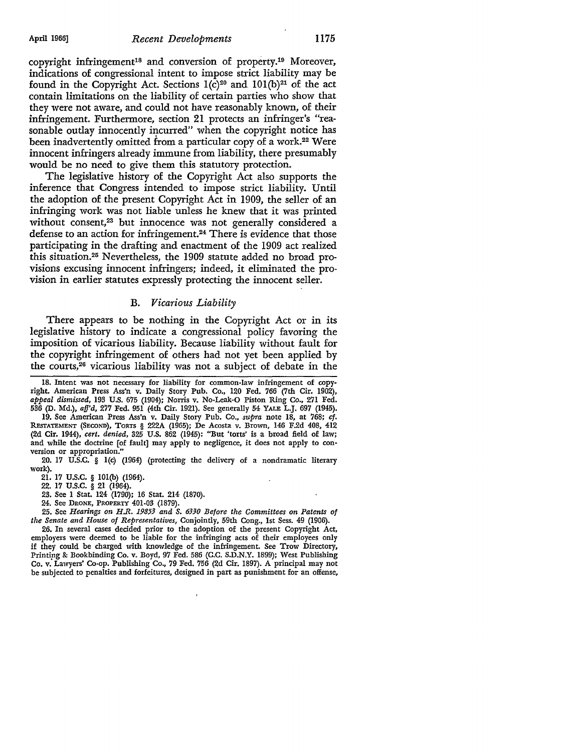copyright infringement18 and conversion of property.19 Moreover, indications of congressional intent to impose strict liability may be found in the Copyright Act. Sections  $1(c)^{20}$  and  $101(b)^{21}$  of the act contain limitations on the liability of certain parties who show that they were not aware, and could not have reasonably known, of their infringement. Furthermore, section 21 protects an infringer's "reasonable outlay innocently incurred" when the copyright notice has been inadvertently omitted from a particular copy of a work.<sup>22</sup> Were innocent infringers already immune from liability, there presumably would be no need to give them this statutory protection.

The legislative history of the Copyright Act also supports the inference that Congress intended to impose strict liability. Until the adoption of the present Copyright Act in 1909, the seller of an infringing work was not liable unless he knew that it was printed without consent,<sup>23</sup> but innocence was not generally considered a defense to an action for infringement.<sup>24</sup> There is evidence that those participating in the drafting and enactment of the 1909 act realized this situation.25 Nevertheless, the 1909 statute added no broad provisions excusing innocent infringers; indeed, it eliminated the provision in earlier statutes expressly protecting the innocent seller.

#### B. *Vicarious Liability*

There appears to be nothing in the Copyright Act or in its legislative history to indicate a congressional policy favoring the imposition of vicarious liability. Because liability without fault for the copyright infringement of others had not yet been applied by the courts,26 vicarious liability was not a subject of debate in the

18. Intent was not necessary for liability for common-law infringement of copyright. American Press Ass'n v. Daily Story Pub. Co., 120 Fed. 766 (7th Cir. 1902), *appeal dismissed,* 193 U.S. 675 (1904); Norris v. No-Leak-O Piston Ring Co., 271 Fed. 536 (D. Md.), *afj'd,* 277 Fed. 951 (4th Cir. 1921). See generally 54 YALE L.J. 697 (1945).

19. See American Press Ass'n v. Daily Story Pub. Co., *supra* note 18, at 768; cf. REsTATEMENT (SECOND), TORTS § 222A (1965); De Acosta v. Brown, 146 F.2d 408, 412 (2d Cir. 1944), *cert. denied,* 325 U.S. 862 (1945): "But 'torts' is a broad field of law; and while the doctrine [of fault] may apply to negligence, it does not apply to con• version or appropriation.

20. 17 U.S.C. § l(c) (1964) (protecting the delivery of a nondramatic literary work).

21. 17 U.S.C. § IOI(b) (1964).

22. 17 u.s.c. § 21 (1964).

23. See 1 Stat. 124 (1790); 16 Stat. 214 (1870).

24. See DRONE, PROPERTY 401-03 (1879).

25. See *Hearings on H.R. 19853 and S. 6330 Before the Committees on Patents of the Senate and House of Representatives,* Conjointly, 59th Cong., 1st Sess. 49 (1906).

26. In several cases decided prior to the adoption of the present Copyright Act, employers were deemed to be liable for the infringing acts of their employees only if they could be charged with knowledge of the infringement. See Trow Directory, Printipg & Bookbinding Co. v. Boyd, 97 Fed. 586 (C.C. S.D.N.Y. 1899); West Publishing Co. v. Lawyers' Co-op. Publishing Co., 79 Fed. 756 (2d Cir. 1897). A principal may not be subjected to penalties and forfeitures, designed in part as punishment for an offense,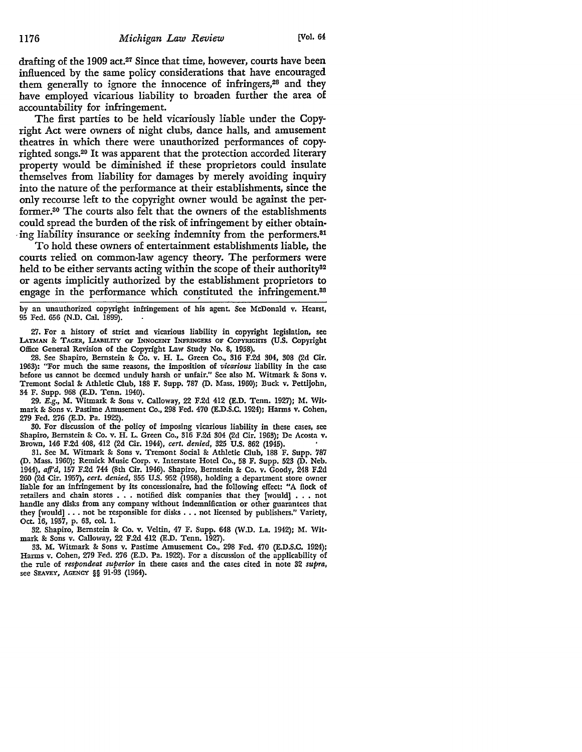drafting of the 1909 act.27 Since that time, however, courts have been influenced by the same policy considerations that have encouraged them generally to ignore the innocence of infringers,<sup>28</sup> and they have employed vicarious liability to broaden further the area of accountability for infringement.

The first parties to be held vicariously liable under the Copyright Act were owners of night clubs, dance halls, and amusement theatres in which there were unauthorized performances of copyrighted songs.29 It was apparent that the protection accorded literary property would be diminished if these proprietors could insulate themselves from liability for damages by merely avoiding inquiry into the nature of the performance at their establishments, since the only recourse left to the copyright owner would be against the performer.30 The courts also felt that the owners of the establishments could spread the burden of the risk of infringement by either obtain ing liability insurance or seeking indemnity from the performers.<sup>81</sup>

To hold these owners of entertainment establishments liable, the courts relied on common-law agency theory. The performers were held to be either servants acting within the scope of their authority<sup>32</sup> or agents implicitly authorized by the establishment proprietors to engage in the performance which constituted the infringement.<sup>88</sup>

by an unauthorized copyright infringement of his agent. See McDonald v. Hearst, 95 Fed. 656 (N.D. Cal. 1899).

27. For a history of strict and vicarious liability in copyright legislation, sec LATMAN & TAGER, LIABILITY OF INNOCENT INFRINGERS OF COPYRIGHTS (U.S. Copyright Office General Revision of the Copyright Law Study No. 8, 1958).

28. See Shapiro, Bernstein & Co. v. H. L. Green Co., 316 F.2d 304, 308 (2d Cir, 1963): "For much the same reasons, the imposition of *vicarious* liability in the case before us cannot be deemed unduly harsh or unfair." See also M. Witmark & Sons v, Tremont Social & Athletic Club, 188 F. Supp. 787 (D. Mass. 1960); Buck v. Pettijohn, 34 F. Supp. 968 (E.D. Tenn. 1940).

29. E.g., M. Witmark & Sons v. Calloway, 22 F.2d 412 (E.D. Tenn, 1927); M. Witmark & Sons v. Pastime Amusement Co., 298 Fed. 470 (E.D.S.C. 1924); Harms v. Cohen, 279 Fed. 276 (E.D. Pa. 1922).

30. For discussion of the policy of imposing vicarious liability in these cases, sec Shapiro, Bernstein & Co. v. H. L. Green Co., 316 F.2d 304 {2d Cir. 1963); De Acosta v. Brown, 146 F.2d 408, 412 {2d Cir. 1944), *cert. denied,* 325 U.S. 862 (1945). •

31. See M. Witmark & Sons v. Tremont Social & Athletic Club, 188 F. Supp. '187 (D. Mass. 1960); Remick Music Corp. v. Interstate Hotel Co., 58 F. Supp. 523 {D, Neb. 1944), *afj'd,* 157 F.2d 744 (8th Cir. 1946). Shapiro, Bernstein & Co. v. Goody, 248 F.2d 260 (2d Cir. 1957), *cert. denied,* 355 U.S. 952 (1958), holding a department store owner liable for an infringement by its concessionaire, had the following effect: "A flock of retailers and chain stores . . • notified disk companies that they [would] • . • not handle any disks from any company without indemnification or other guarantees that they [would] ... not be responsible for disks ... not licensed by publishers." Variety, Oct. 16, 1957, p. 63, col. I.

32. Shapiro, Bernstein & Co. v. Veltin, 47 F. Supp. 648 (W.D. La. 1942); M. Wit• mark & Sons v. Calloway, 22 F.2d 412 (E.D. Tenn. 1927).

33. M. Witmark & Sons v. Pastime Amusement Co., 298 Fed. 470 (E.D.S.C, 1924); Harms v. Cohen, 279 Fed. 276 (E.D. Pa. 1922). For a discussion of the applicability of the rule of *respondeat superior* in these cases and the cases cited in note 32 *supra,*  see SEAVEY, AGENCY §§ 91-93 (1964).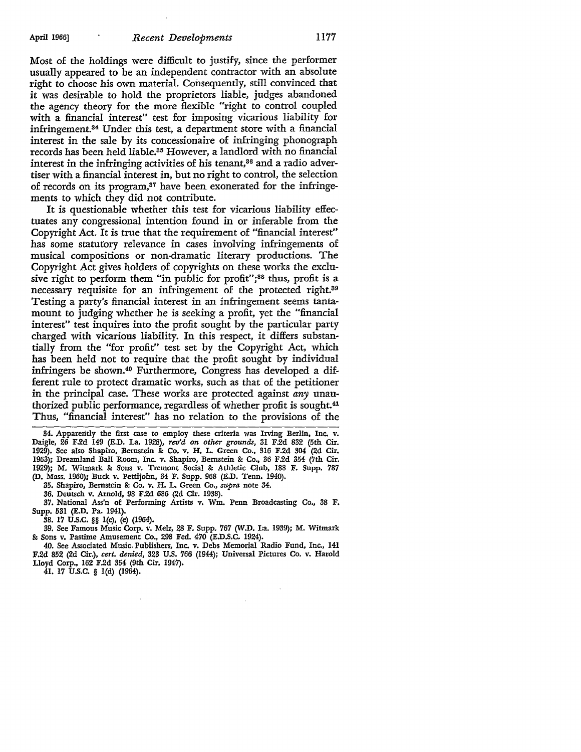Most of the holdings were difficult to justify, since the performer usually appeared to be an independent contractor with an absolute right to choose his own material. Consequently, still convinced that it was desirable to hold the proprietors liable, judges abandoned the agency theory for the more flexible "right to control coupled with a financial interest" test for imposing vicarious liability for infringement. $34$  Under this test, a department store with a financial interest in the sale by its concessionaire of infringing phonograph records has been held liable.<sup>35</sup> However, a landlord with no financial interest in the infringing activities of his tenant,<sup>86</sup> and a radio advertiser with a financial interest in, but no right to control, the selection of records on its program,<sup>87</sup> have been exonerated for the infringements to which they did not contribute.

It is questionable whether this test for vicarious liability effectuates any congressional intention found in or inferable from the Copyright Act. It is true that the requirement of "financial interest" has some statutory relevance in cases involving infringements of musical compositions or non-dramatic literary productions. The Copyright Act gives holders of copyrights on these works the exclusive right to perform them "in public for profit";<sup>38</sup> thus, profit is a necessary requisite for an infringement of the protected right.<sup>89</sup> Testing a party's financial interest in an infringement seems tantamount to judging whether he is seeking a profit, yet the "financial" interest" test inquires into the profit sought by the particular party charged with vicarious liability. In this respect, it differs substantially from the "for profit" test set by the Copyright Act, which has been held not to require that the profit sought by individual infringers be shown.4° Furthermore, Congress has developed a different rule to protect dramatic works, such as that of the petitioner in the principal case. These works are protected against *any* unauthorized public performance, regardless of whether profit is sought.41 Thus, "financial interest" has no relation to the provisions of the

34. Apparently the first case to employ these criteria was Irving Berlin, Inc. v. Daigle, 26 F.2d 149 (E.D. La. 1928), *rev'd on other grounds,* 31 F.2d 832 (5th Cir. 1929). See also Shapiro, Bernstein & Co. v. H. L. Green Co., 316 F.2d 304 (2d Cir. 1963); Dreamland Ball Room, Inc. v. Shapiro, Bernstein & Co., 36 F.2d 354 (7th Cir. 1929); M. Witmark & Sons v. Tremont Social & Athletic Club, 188 F. Supp. 787 (D. Mass. 1960); Buck v. Pettijohn, 34 F. Supp. 968 (E.D. Tenn. 1940).

35. Shapiro, Bernstein & Co. v. H. L. Green Co., *supra* note 34.

36. Deutsch v. Arnold, 98 F.2d 686 (2d Cir. 1938).

37. National Ass'n of Performing Artists v. Wm. Penn Broadcasting Co., 38 F. Supp. 531 (E.D. Pa. 1941).

38. 17 U.S.C. §§ l(c), (e) (1964).

39. See Famous Music Corp. v. Melz, 28 F. Supp. 767 (W.D. La. 1939); M. Witmark &: Sons v. Pastime Amusement Co., 298 Fed. 470 (E.D.S.C. 1924).

40. See Associated Music. Publishers, Inc. v. Debs Memorial Radio Fund, Inc., 141 F.2d 852 (2d Cir.), *cert. denied,* 323 U.S. 766 (1944); Universal Pictures Co. v. Harold Lloyd Corp., 162 F.2d 354 (9th Cir. 1947).

41. 17 U.S.C. § l(d) (1964).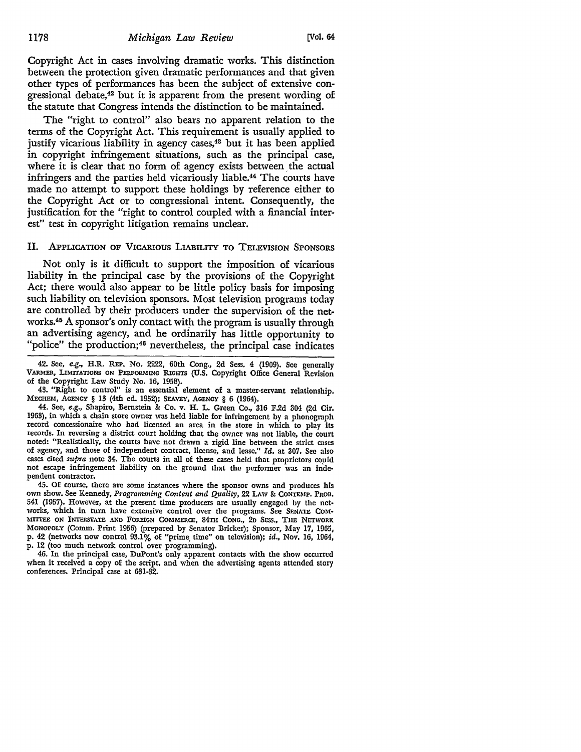Copyright Act in cases involving dramatic works. This distinction between the protection given dramatic performances and that given other types of performances has been the subject of extensive congressional debate,42 but it is apparent from the present wording of the statute that Congress intends the distinction to be maintained.

The "right to control" also bears no apparent relation to the terms of the Copyright Act. This requirement is usually applied to justify vicarious liability in agency cases,<sup>43</sup> but it has been applied in copyright infringement situations, such as the principal case, where it is clear that no form of agency exists between the actual infringers and the parties held vicariously liable.44 The courts have made no attempt to support these holdings by reference either to the Copyright Act or to congressional intent. Consequently, the justification for the "right to control coupled with a financial interest" test in copyright litigation remains unclear.

#### II. APPLICATION OF VICARIOUS LIABILITY TO TELEVISION SPONSORS

Not only is it difficult to support the imposition of vicarious liability in the principal case by the provisions of the Copyright Act; there would also appear to be little policy basis for imposing such liability on television sponsors. Most television programs today are controlled by their producers under the supervision of the networks.<sup>45</sup> A sponsor's only contact with the program is usually through an advertising agency, and he ordinarily has little opportunity to "police" the production;<sup>46</sup> nevertheless, the principal case indicates

45. Of course, there are some instances where the sponsor owns and produces his own show. See Kennedy, *Programming Content and Quality,* 22 LAw & CONTEMP. PROD, 541 (1957). However, at the present time producers are usually engaged by the net• works, which in tum have extensive control over the programs. See SENATE COM• MITTEE ON INTERSTATE AND FOREIGN COMMERCE, 84TH CONG., 2D SESS., THE NETWORK MONOPOLY (Comm. Print 1956) (prepared by Senator Bricker); Sponsor, May 17, 1965, p. 42 (networks now control 93.1% of "prime, time" on television); id., Nov. 16, 1964, p. 12 (too much network control over programming).

46. In the principal case, DuPont's only apparent contacts with the show occurred when it received a copy of the script, and when the advertising agents attended story conferences. Principal case at 631-32.

<sup>42.</sup> See, *e.g.,* H.R. REP. No. 2222, 60th Cong., 2d Sess. 4 (1909). See generally VARMER, LIMITATIONS ON PERFORMING RIGHTS (U.S. Copyright Office General Revision of the Copyright Law Study No. 16, 1958).

<sup>43. &</sup>quot;Right to control" is an essential element of a master-servant relationship. MECHEM, AGENCY § 13 (4th ed. 1952); SEAVEY, AGENCY § 6 (1964).

<sup>44.</sup> See, *e.g.,* Shapiro, Bernstein & Co. v. H. L. Green Co., 316 F.2d 304 (2d Cir. 1963), in which a chain store owner was held liable for infringement by a phonograph record concessionaire who had licensed an area in the store in which to play its records. In reversing a district court holding that the owner was not liable, the court noted: "Realistically, the courts have not drawn a rigid line between the strict cases of agency, and those of independent contract, license, and lease." *Id.* at 307. Sec also cases cited *supra* note 34. The courts in all of these cases held that proprietors could not escape infringement liability on the ground that the performer was an indc• pendent contractor.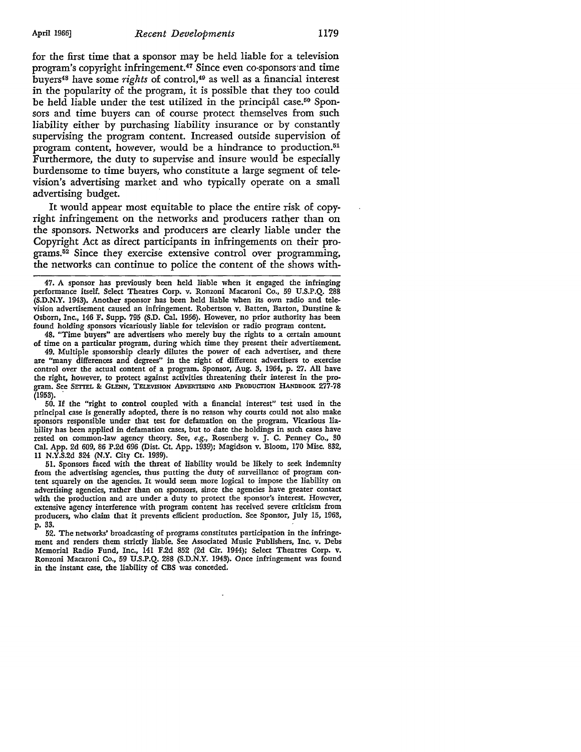for the first time that a sponsor may be held liable for a television program's copyright infringement.47 Since even co-sponsors·and time buyers48 have some *rights* of control, 49 as well as a financial interest in the popularity of the program, it is possible that they too could be held liable under the test utilized in the principal case.<sup>50</sup> Sponsors and time buyers can of course protect themselves from such liability either by purchasing liability insurance or by constantly supervising the program content. Increased outside supervision of program content, however, would be a hindrance to production.51 Furthermore, the duty to supervise and insure would be especially burdensome to time buyers, who constitute a large segment of television's advertising market and who typically operate on a small advertising budget.

It would appear most equitable to place the entire risk of copyright infringement on the networks and producers rather than on the sponsors. Networks and producers are clearly liable under the Copyright Act as direct participants in infringements on their programs. 52 Since they exercise extensive control over programming, the networks can continue to police the content of the shows with-

47. A sponsor has previously been held liable when it engaged the infringing performance itself. Select Theatres Corp. v. Ronzoni Macaroni Co., 59 U.S.P.Q. 288 **(S.D.N.Y.** 1943). Another sponsor has been held liable when its own radio and television advertisement caused an infringement. Robertson v. Batten, Barton, Durstine &: Osborn, Inc., 146 F. Supp. 795 (S.D. Cal. 1956). However, no prior authority has been found holding sponsors vicariously liable for television or radio program content.

48. "Time buyers" are advertisers who merely buy the rights to a certain amount of time on a particular program, during which time they present their advertisement.

49. Multiple sponsorship clearly dilutes the power of each advertiser, and there are "many differences and degrees" in the right of different advertisers to exercise control over the actual content of a program. Sponsor, Aug. 3, 1964, p. 27. All have the right, however, to protect against activities threatening their interest in the program. See SETTEL & GLENN, TELEVISION ADVERTISING AND PRODUCTION HANDBOOK 277-78  $(1953)$ .  $\ddot{\phantom{1}}$ 

50. If the "right to control coupled with a financial interest" test used in the principal case is generally adopted, there is no reason why courts could not also make sponsors responsible under that test for defamation on the program. Vicarious liability has been applied in defamation cases, but to date the holdings in such cases have rested on common-law agency theory. See, *e.g.,* Rosenberg v. J. C. Penney Co., 30 Cal. App. 2d 609, 86 P.2d 696 (Dist. Ct. App. 1939); Magidson v. Bloom, 170 Misc. 832, 11 N.Y.S.2d 324 (N.Y. City Ct. 1939).

51. Sponsors faced with the threat of liability would be likely to seek indemnity from the advertising agencies, thus putting the duty of surveillance of program content squarely on the agencies. It would seem more logical to impose the liability on advertising agencies, rather than on sponsors, since the agencies have greater contact with the production and are under a duty to protect the sponsor's interest. However, extensive agency interference with program content has received severe criticism from producers, who claim that it prevents efficient production. See Sponsor, July 15, 1963, p. 33.

52. The networks' broadcasting of programs constitutes participation in the infringement and renders them strictly liable. See Associated Music Publishers, Inc. v. Debs Memorial Radio Fund, Inc., 141 F.2d 852 (2d Cir. 1944); Select Theatres Corp. v. Ronzoni Macaroni Co., 59 U.S.P.Q. 288 (S.D.N.Y. 1943). Once infringement was found in the instant case, the liability of CBS was conceded.